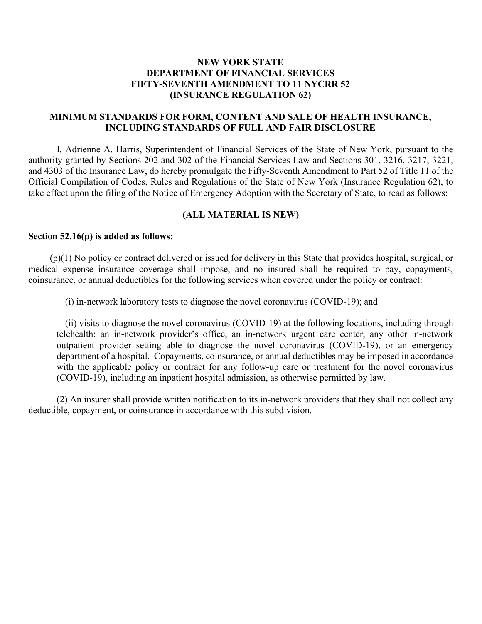## **NEW YORK STATE DEPARTMENT OF FINANCIAL SERVICES FIFTY-SEVENTH AMENDMENT TO 11 NYCRR 52 (INSURANCE REGULATION 62)**

## **MINIMUM STANDARDS FOR FORM, CONTENT AND SALE OF HEALTH INSURANCE, INCLUDING STANDARDS OF FULL AND FAIR DISCLOSURE**

 I, Adrienne A. Harris, Superintendent of Financial Services of the State of New York, pursuant to the take effect upon the filing of the Notice of Emergency Adoption with the Secretary of State, to read as follows: authority granted by Sections 202 and 302 of the Financial Services Law and Sections 301, 3216, 3217, 3221, and 4303 of the Insurance Law, do hereby promulgate the Fifty-Seventh Amendment to Part 52 of Title 11 of the Official Compilation of Codes, Rules and Regulations of the State of New York (Insurance Regulation 62), to

### **(ALL MATERIAL IS NEW)**

#### **Section 52.16(p) is added as follows:**

 medical expense insurance coverage shall impose, and no insured shall be required to pay, copayments, coinsurance, or annual deductibles for the following services when covered under the policy or contract: (p)(1) No policy or contract delivered or issued for delivery in this State that provides hospital, surgical, or

(i) in-network laboratory tests to diagnose the novel coronavirus (COVID-19); and

 telehealth: an in-network provider's office, an in-network urgent care center, any other in-network outpatient provider setting able to diagnose the novel coronavirus (COVID-19), or an emergency department of a hospital. Copayments, coinsurance, or annual deductibles may be imposed in accordance with the applicable policy or contract for any follow-up care or treatment for the novel coronavirus (ii) visits to diagnose the novel coronavirus (COVID-19) at the following locations, including through (COVID-19), including an inpatient hospital admission, as otherwise permitted by law.

 deductible, copayment, or coinsurance in accordance with this subdivision. (2) An insurer shall provide written notification to its in-network providers that they shall not collect any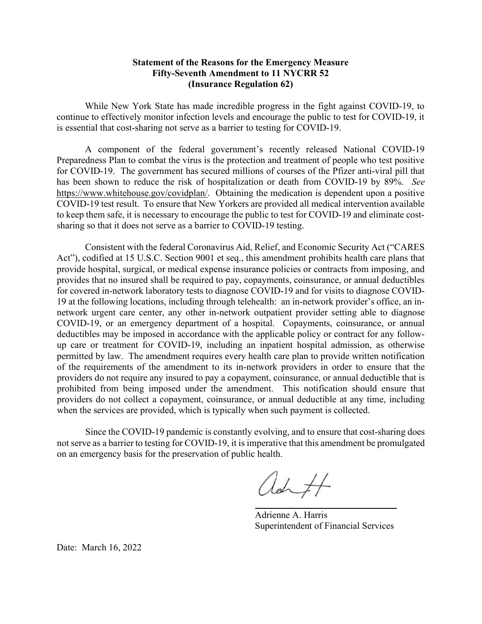## Statement of the Reasons for the Emergency Measure Fifty-Seventh Amendment to 11 NYCRR 52 (Insurance Regulation 62)

 While New York State has made incredible progress in the fight against COVID-19, to continue to effectively monitor infection levels and encourage the public to test for COVID-19, it is essential that cost-sharing not serve as a barrier to testing for COVID-19.

 Preparedness Plan to combat the virus is the protection and treatment of people who test positive for COVID-19. The government has secured millions of courses of the Pfizer anti-viral pill that has been shown to reduce the risk of hospitalization or death from COVID-19 by 89%. See <https://www.whitehouse.gov/covidplan>/. Obtaining the medication is dependent upon a positive COVID-19 test result. To ensure that New Yorkers are provided all medical intervention available to keep them safe, it is necessary to encourage the public to test for COVID-19 and eliminate cost- sharing so that it does not serve as a barrier to COVID-19 testing. A component of the federal government's recently released National COVID-19

 Consistent with the federal Coronavirus Aid, Relief, and Economic Security Act ("CARES Act"), codified at 15 U.S.C. Section 9001 et seq., this amendment prohibits health care plans that provide hospital, surgical, or medical expense insurance policies or contracts from imposing, and provides that no insured shall be required to pay, copayments, coinsurance, or annual deductibles for covered in-network laboratory tests to diagnose COVID-19 and for visits to diagnose COVID- 19 at the following locations, including through telehealth: an in-network provider's office, an in- network urgent care center, any other in-network outpatient provider setting able to diagnose COVID-19, or an emergency department of a hospital. Copayments, coinsurance, or annual deductibles may be imposed in accordance with the applicable policy or contract for any follow- up care or treatment for COVID-19, including an inpatient hospital admission, as otherwise permitted by law. The amendment requires every health care plan to provide written notification of the requirements of the amendment to its in-network providers in order to ensure that the providers do not require any insured to pay a copayment, coinsurance, or annual deductible that is prohibited from being imposed under the amendment. This notification should ensure that providers do not collect a copayment, coinsurance, or annual deductible at any time, including when the services are provided, which is typically when such payment is collected.

 not serve as a barrier to testing for COVID-19, it is imperative that this amendment be promulgated on an emergency basis for the preservation of public health. Since the COVID-19 pandemic is constantly evolving, and to ensure that cost-sharing does

ad

 Adrienne A. Harris Superintendent of Financial Services

Date: March 16, 2022